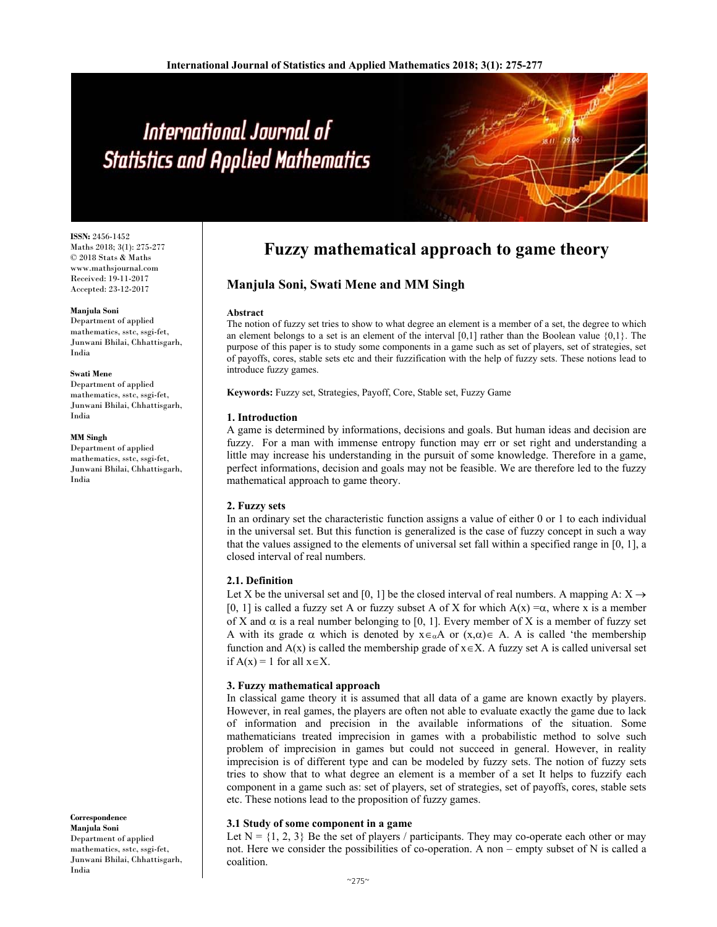# International Journal of **Statistics and Applied Mathematics**

**ISSN:** 2456-1452 Maths 2018; 3(1): 275-277 © 2018 Stats & Maths www.mathsjournal.com Received: 19-11-2017 Accepted: 23-12-2017

#### **Manjula Soni**

Department of applied mathematics, sstc, ssgi-fet, Junwani Bhilai, Chhattisgarh, India

#### **Swati Mene**

Department of applied mathematics, sstc, ssgi-fet, Junwani Bhilai, Chhattisgarh, India

#### **MM Singh**

Department of applied mathematics, sstc, ssgi-fet, Junwani Bhilai, Chhattisgarh, India

**Correspondence Manjula Soni** 

Department of applied mathematics, sstc, ssgi-fet, Junwani Bhilai, Chhattisgarh, India

# **Fuzzy mathematical approach to game theory**

# **Manjula Soni, Swati Mene and MM Singh**

#### **Abstract**

The notion of fuzzy set tries to show to what degree an element is a member of a set, the degree to which an element belongs to a set is an element of the interval  $[0,1]$  rather than the Boolean value  $\{0,1\}$ . The purpose of this paper is to study some components in a game such as set of players, set of strategies, set of payoffs, cores, stable sets etc and their fuzzification with the help of fuzzy sets. These notions lead to introduce fuzzy games.

**Keywords:** Fuzzy set, Strategies, Payoff, Core, Stable set, Fuzzy Game

#### **1. Introduction**

A game is determined by informations, decisions and goals. But human ideas and decision are fuzzy. For a man with immense entropy function may err or set right and understanding a little may increase his understanding in the pursuit of some knowledge. Therefore in a game, perfect informations, decision and goals may not be feasible. We are therefore led to the fuzzy mathematical approach to game theory.

# **2. Fuzzy sets**

In an ordinary set the characteristic function assigns a value of either 0 or 1 to each individual in the universal set. But this function is generalized is the case of fuzzy concept in such a way that the values assigned to the elements of universal set fall within a specified range in [0, 1], a closed interval of real numbers.

# **2.1. Definition**

Let X be the universal set and [0, 1] be the closed interval of real numbers. A mapping A:  $X \rightarrow$ [0, 1] is called a fuzzy set A or fuzzy subset A of X for which  $A(x) = \alpha$ , where x is a member of X and  $\alpha$  is a real number belonging to [0, 1]. Every member of X is a member of fuzzy set A with its grade  $\alpha$  which is denoted by  $x \in_{\alpha} A$  or  $(x, \alpha) \in A$ . A is called 'the membership function and  $A(x)$  is called the membership grade of  $x \in X$ . A fuzzy set A is called universal set if  $A(x) = 1$  for all  $x \in X$ .

#### **3. Fuzzy mathematical approach**

In classical game theory it is assumed that all data of a game are known exactly by players. However, in real games, the players are often not able to evaluate exactly the game due to lack of information and precision in the available informations of the situation. Some mathematicians treated imprecision in games with a probabilistic method to solve such problem of imprecision in games but could not succeed in general. However, in reality imprecision is of different type and can be modeled by fuzzy sets. The notion of fuzzy sets tries to show that to what degree an element is a member of a set It helps to fuzzify each component in a game such as: set of players, set of strategies, set of payoffs, cores, stable sets etc. These notions lead to the proposition of fuzzy games.

### **3.1 Study of some component in a game**

Let  $N = \{1, 2, 3\}$  Be the set of players / participants. They may co-operate each other or may not. Here we consider the possibilities of co-operation. A non – empty subset of N is called a coalition.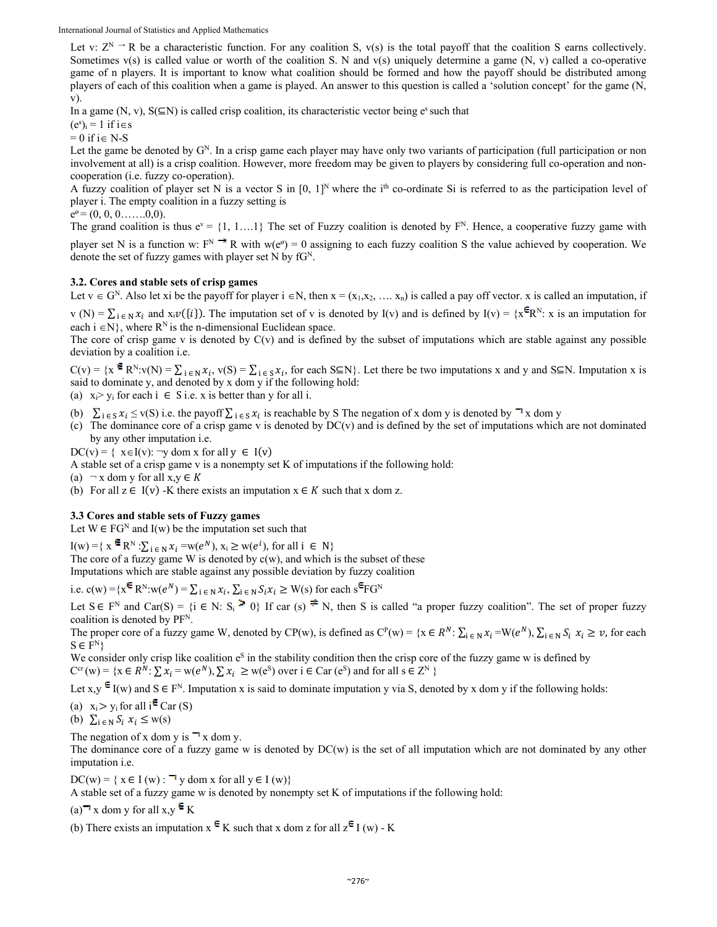International Journal of Statistics and Applied Mathematics

Let v:  $Z^N \rightharpoonup R$  be a characteristic function. For any coalition S,  $v(s)$  is the total payoff that the coalition S earns collectively. Sometimes  $v(s)$  is called value or worth of the coalition S. N and  $v(s)$  uniquely determine a game  $(N, v)$  called a co-operative game of n players. It is important to know what coalition should be formed and how the payoff should be distributed among players of each of this coalition when a game is played. An answer to this question is called a 'solution concept' for the game (N, v).

In a game (N, v),  $S(\subseteq N)$  is called crisp coalition, its characteristic vector being e<sup>s</sup> such that

 $(e^s)_i = 1$  if  $i \in s$ 

 $= 0$  if i $\in$  N-S

Let the game be denoted by  $G<sup>N</sup>$ . In a crisp game each player may have only two variants of participation (full participation or non involvement at all) is a crisp coalition. However, more freedom may be given to players by considering full co-operation and noncooperation (i.e. fuzzy co-operation).

A fuzzy coalition of player set N is a vector S in  $[0, 1]^N$  where the i<sup>th</sup> co-ordinate Si is referred to as the participation level of player i. The empty coalition in a fuzzy setting is

 $e^{\theta} = (0, 0, 0, \ldots, 0, 0).$ 

The grand coalition is thus  $e^v = \{1, 1, \ldots\}$  The set of Fuzzy coalition is denoted by  $F^N$ . Hence, a cooperative fuzzy game with player set N is a function w:  $F^N \to R$  with w(e<sup> $\omega$ </sup>) = 0 assigning to each fuzzy coalition S the value achieved by cooperation. We denote the set of fuzzy games with player set N by  $fG^N$ .

# **3.2. Cores and stable sets of crisp games**

Let  $v \in G^N$ . Also let xi be the payoff for player  $i \in N$ , then  $x = (x_1, x_2, \ldots, x_n)$  is called a pay off vector. x is called an imputation, if

v (N) =  $\sum_{i \in N} x_i$  and  $x_i \nu({i})$ . The imputation set of v is denoted by I(v) and is defined by I(v) = { $x^{\epsilon}R^N$ : x is an imputation for each  $i \in N$ , where  $R^N$  is the n-dimensional Euclidean space.

The core of crisp game v is denoted by  $C(v)$  and is defined by the subset of imputations which are stable against any possible deviation by a coalition i.e.

 $C(v) = {x \in R^N : v(N) = \sum_{i \in N} x_i, v(S) = \sum_{i \in S} x_i}$ , for each S⊆N}. Let there be two imputations x and y and S⊆N. Imputation x is said to dominate y, and denoted by x dom y if the following hold:

- (a)  $x_i > y_i$  for each  $i \in S$  i.e. x is better than y for all i.
- (b)  $\sum_{i \in S} x_i \le v(S)$  i.e. the payoff  $\sum_{i \in S} x_i$  is reachable by S The negation of x dom y is denoted by  $\exists x$  dom y
- (c) The dominance core of a crisp game v is denoted by DC(v) and is defined by the set of imputations which are not dominated by any other imputation i.e.

 $DC(v) = \{ x \in I(v) : \neg y \text{ dom } x \text{ for all } y \in I(v) \}$ 

A stable set of a crisp game v is a nonempty set K of imputations if the following hold:

(a)  $\neg x$  dom y for all  $x, y \in K$ 

(b) For all  $z \in I(v)$  -K there exists an imputation  $x \in K$  such that x dom z.

#### **3.3 Cores and stable sets of Fuzzy games**

Let  $W \in FG^N$  and I(w) be the imputation set such that

 $I(w) = \{ x \in \mathbb{R}^N : \sum_{i \in \mathbb{N}} x_i = w(e^N), x_i \geq w(e^i), \text{ for all } i \in \mathbb{N} \}$ 

The core of a fuzzy game W is denoted by  $c(w)$ , and which is the subset of these

Imputations which are stable against any possible deviation by fuzzy coalition

i.e.  $c(w) = \{x^{\mathsf{E}} R^N : w(e^N) = \sum_{i \in \mathbb{N}} x_i, \sum_{i \in \mathbb{N}} S_i x_i \geq W(s) \text{ for each } s^{\mathsf{E}} F G^N \}$ 

Let  $S \in F^N$  and  $Car(S) = \{i \in N: S_i \geq 0\}$  If car  $(s) \neq N$ , then S is called "a proper fuzzy coalition". The set of proper fuzzy coalition is denoted by PF<sup>N</sup>.

The proper core of a fuzzy game W, denoted by CP(w), is defined as  $C^{p}(w) = \{x \in \mathbb{R}^{N} : \sum_{i \in \mathbb{N}} x_{i} = W(e^{N}), \sum_{i \in \mathbb{N}} S_{i} x_{i} \geq v$ , for each  $S \in F^N$ 

We consider only crisp like coalition  $e<sup>S</sup>$  in the stability condition then the crisp core of the fuzzy game w is defined by

$$
C^{cr}(w) = \{x \in R^N \colon \sum x_i = w(e^N), \sum x_i \ge w(e^S) \text{ over } i \in \text{Car}(e^S) \text{ and for all } s \in Z^N \}
$$

Let x,y  $\epsilon$  I(w) and  $S \in F^N$ . Imputation x is said to dominate imputation y via S, denoted by x dom y if the following holds:

(a)  $x_i > y_i$  for all  $i^E$  Car (S)

(b)  $\sum_{i \in N} S_i x_i \leq w(s)$ 

The negation of x dom y is  $\neg x$  dom y.

The dominance core of a fuzzy game w is denoted by  $DC(w)$  is the set of all imputation which are not dominated by any other imputation i.e.

 $DC(w) = \{ x \in I(w) : \exists y \text{ dom } x \text{ for all } y \in I(w) \}$ 

A stable set of a fuzzy game w is denoted by nonempty set K of imputations if the following hold:

(a)  $\mathbf{\bar{a}}$  x dom y for all x,y  $\mathbf{\bar{e}}$  K

(b) There exists an imputation  $x \in K$  such that x dom z for all  $z \in I(w)$  - K